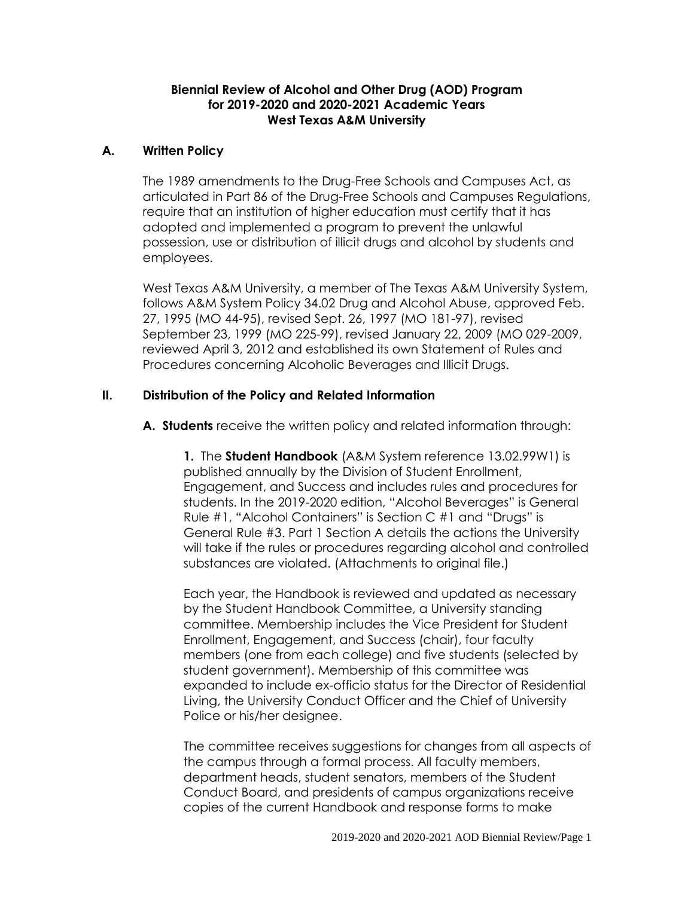### **Biennial Review of Alcohol and Other Drug (AOD) Program for 2019-2020 and 2020-2021 Academic Years West Texas A&M University**

# **A. Written Policy**

The 1989 amendments to the Drug-Free Schools and Campuses Act, as articulated in Part 86 of the Drug-Free Schools and Campuses Regulations, require that an institution of higher education must certify that it has adopted and implemented a program to prevent the unlawful possession, use or distribution of illicit drugs and alcohol by students and employees.

West Texas A&M University, a member of The Texas A&M University System, follows A&M System Policy 34.02 Drug and Alcohol Abuse, approved Feb. 27, 1995 (MO 44-95), revised Sept. 26, 1997 (MO 181-97), revised September 23, 1999 (MO 225-99), revised January 22, 2009 (MO 029-2009, reviewed April 3, 2012 and established its own Statement of Rules and Procedures concerning Alcoholic Beverages and Illicit Drugs.

# **II. Distribution of the Policy and Related Information**

**A. Students** receive the written policy and related information through:

**1.** The **Student Handbook** (A&M System reference 13.02.99W1) is published annually by the Division of Student Enrollment, Engagement, and Success and includes rules and procedures for students. In the 2019-2020 edition, "Alcohol Beverages" is General Rule #1, "Alcohol Containers" is Section C #1 and "Drugs" is General Rule #3. Part 1 Section A details the actions the University will take if the rules or procedures regarding alcohol and controlled substances are violated. (Attachments to original file.)

Each year, the Handbook is reviewed and updated as necessary by the Student Handbook Committee, a University standing committee. Membership includes the Vice President for Student Enrollment, Engagement, and Success (chair), four faculty members (one from each college) and five students (selected by student government). Membership of this committee was expanded to include ex-officio status for the Director of Residential Living, the University Conduct Officer and the Chief of University Police or his/her designee.

The committee receives suggestions for changes from all aspects of the campus through a formal process. All faculty members, department heads, student senators, members of the Student Conduct Board, and presidents of campus organizations receive copies of the current Handbook and response forms to make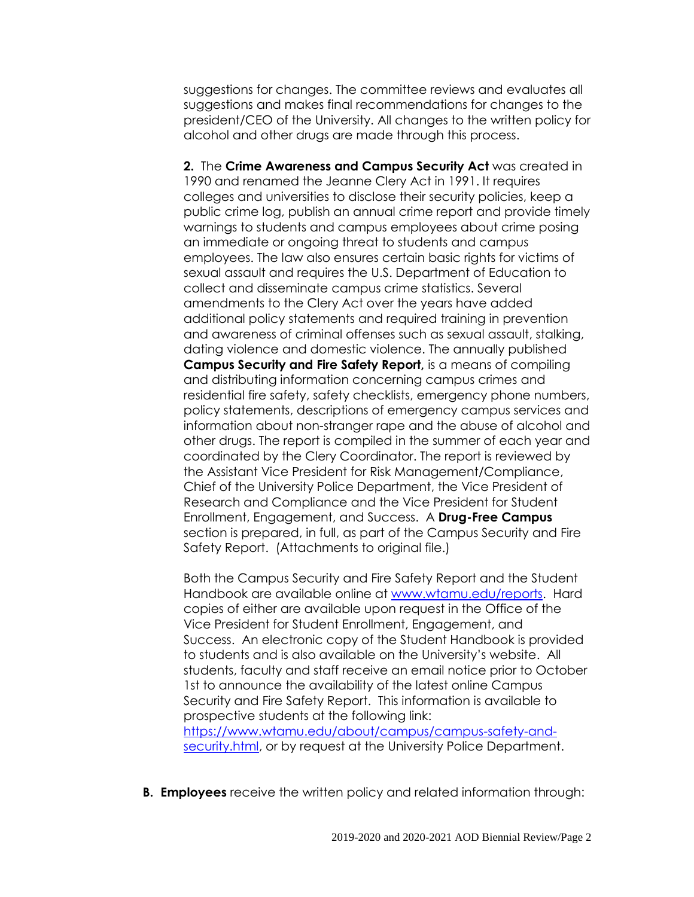suggestions for changes. The committee reviews and evaluates all suggestions and makes final recommendations for changes to the president/CEO of the University. All changes to the written policy for alcohol and other drugs are made through this process.

**2.** The **Crime Awareness and Campus Security Act** was created in 1990 and renamed the Jeanne Clery Act in 1991. It requires colleges and universities to disclose their security policies, keep a public crime log, publish an annual crime report and provide timely warnings to students and campus employees about crime posing an immediate or ongoing threat to students and campus employees. The law also ensures certain basic rights for victims of sexual assault and requires the U.S. Department of Education to collect and disseminate campus crime statistics. Several amendments to the Clery Act over the years have added additional policy statements and required training in prevention and awareness of criminal offenses such as sexual assault, stalking, dating violence and domestic violence. The annually published **Campus Security and Fire Safety Report,** is a means of compiling and distributing information concerning campus crimes and residential fire safety, safety checklists, emergency phone numbers, policy statements, descriptions of emergency campus services and information about non-stranger rape and the abuse of alcohol and other drugs. The report is compiled in the summer of each year and coordinated by the Clery Coordinator. The report is reviewed by the Assistant Vice President for Risk Management/Compliance, Chief of the University Police Department, the Vice President of Research and Compliance and the Vice President for Student Enrollment, Engagement, and Success. A **Drug-Free Campus** section is prepared, in full, as part of the Campus Security and Fire Safety Report. (Attachments to original file.)

Both the Campus Security and Fire Safety Report and the Student Handbook are available online at [www.wtamu.edu/reports.](http://www.wtamu.edu/reports) Hard copies of either are available upon request in the Office of the Vice President for Student Enrollment, Engagement, and Success. An electronic copy of the Student Handbook is provided to students and is also available on the University's website. All students, faculty and staff receive an email notice prior to October 1st to announce the availability of the latest online Campus Security and Fire Safety Report. This information is available to prospective students at the following link:

[https://www.wtamu.edu/about/campus/campus-safety-and](https://www.wtamu.edu/about/campus/campus-safety-and-security.html)[security.html,](https://www.wtamu.edu/about/campus/campus-safety-and-security.html) or by request at the University Police Department.

**B. Employees** receive the written policy and related information through: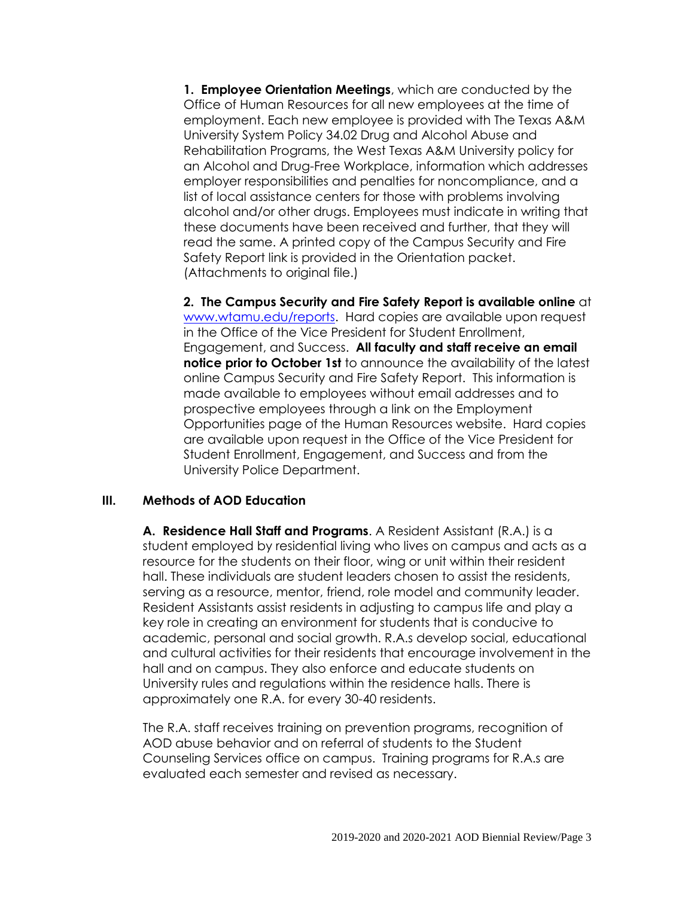**1. Employee Orientation Meetings**, which are conducted by the Office of Human Resources for all new employees at the time of employment. Each new employee is provided with The Texas A&M University System Policy 34.02 Drug and Alcohol Abuse and Rehabilitation Programs, the West Texas A&M University policy for an Alcohol and Drug-Free Workplace, information which addresses employer responsibilities and penalties for noncompliance, and a list of local assistance centers for those with problems involving alcohol and/or other drugs. Employees must indicate in writing that these documents have been received and further, that they will read the same. A printed copy of the Campus Security and Fire Safety Report link is provided in the Orientation packet. (Attachments to original file.)

**2. The Campus Security and Fire Safety Report is available online** at [www.wtamu.edu/reports.](http://www.wtamu.edu/reports) Hard copies are available upon request in the Office of the Vice President for Student Enrollment, Engagement, and Success. **All faculty and staff receive an email notice prior to October 1st** to announce the availability of the latest online Campus Security and Fire Safety Report. This information is made available to employees without email addresses and to prospective employees through a link on the Employment Opportunities page of the Human Resources website. Hard copies are available upon request in the Office of the Vice President for Student Enrollment, Engagement, and Success and from the University Police Department.

### **III. Methods of AOD Education**

**A. Residence Hall Staff and Programs**. A Resident Assistant (R.A.) is a student employed by residential living who lives on campus and acts as a resource for the students on their floor, wing or unit within their resident hall. These individuals are student leaders chosen to assist the residents, serving as a resource, mentor, friend, role model and community leader. Resident Assistants assist residents in adjusting to campus life and play a key role in creating an environment for students that is conducive to academic, personal and social growth. R.A.s develop social, educational and cultural activities for their residents that encourage involvement in the hall and on campus. They also enforce and educate students on University rules and regulations within the residence halls. There is approximately one R.A. for every 30-40 residents.

The R.A. staff receives training on prevention programs, recognition of AOD abuse behavior and on referral of students to the Student Counseling Services office on campus. Training programs for R.A.s are evaluated each semester and revised as necessary.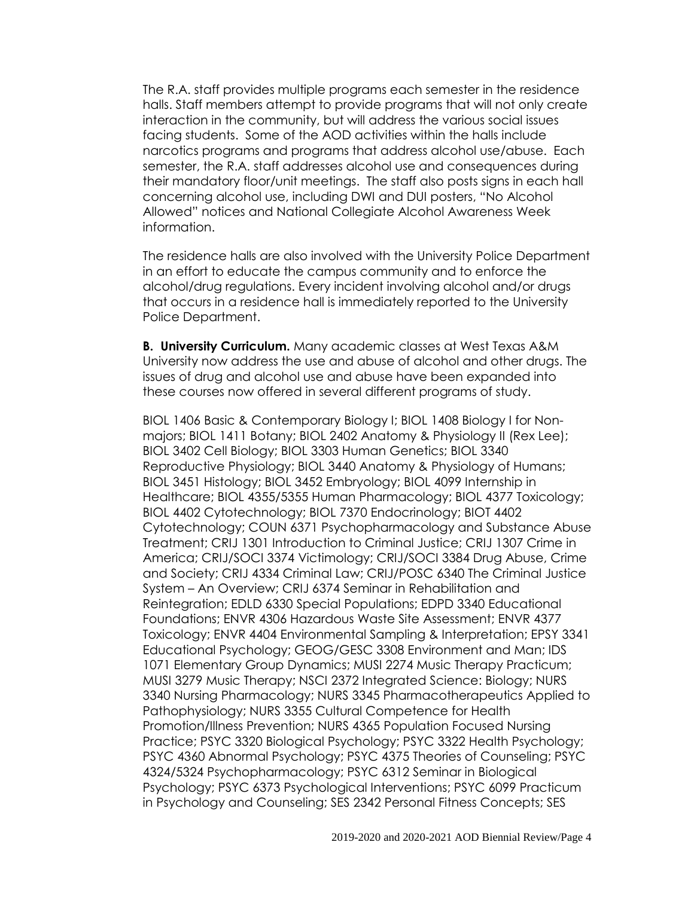The R.A. staff provides multiple programs each semester in the residence halls. Staff members attempt to provide programs that will not only create interaction in the community, but will address the various social issues facing students. Some of the AOD activities within the halls include narcotics programs and programs that address alcohol use/abuse. Each semester, the R.A. staff addresses alcohol use and consequences during their mandatory floor/unit meetings. The staff also posts signs in each hall concerning alcohol use, including DWI and DUI posters, "No Alcohol Allowed" notices and National Collegiate Alcohol Awareness Week information.

The residence halls are also involved with the University Police Department in an effort to educate the campus community and to enforce the alcohol/drug regulations. Every incident involving alcohol and/or drugs that occurs in a residence hall is immediately reported to the University Police Department.

**B. University Curriculum.** Many academic classes at West Texas A&M University now address the use and abuse of alcohol and other drugs. The issues of drug and alcohol use and abuse have been expanded into these courses now offered in several different programs of study.

BIOL 1406 Basic & Contemporary Biology I; BIOL 1408 Biology I for Nonmajors; BIOL 1411 Botany; BIOL 2402 Anatomy & Physiology II (Rex Lee); BIOL 3402 Cell Biology; BIOL 3303 Human Genetics; BIOL 3340 Reproductive Physiology; BIOL 3440 Anatomy & Physiology of Humans; BIOL 3451 Histology; BIOL 3452 Embryology; BIOL 4099 Internship in Healthcare; BIOL 4355/5355 Human Pharmacology; BIOL 4377 Toxicology; BIOL 4402 Cytotechnology; BIOL 7370 Endocrinology; BIOT 4402 Cytotechnology; COUN 6371 Psychopharmacology and Substance Abuse Treatment; CRIJ 1301 Introduction to Criminal Justice; CRIJ 1307 Crime in America; CRIJ/SOCI 3374 Victimology; CRIJ/SOCI 3384 Drug Abuse, Crime and Society; CRIJ 4334 Criminal Law; CRIJ/POSC 6340 The Criminal Justice System – An Overview; CRIJ 6374 Seminar in Rehabilitation and Reintegration; EDLD 6330 Special Populations; EDPD 3340 Educational Foundations; ENVR 4306 Hazardous Waste Site Assessment; ENVR 4377 Toxicology; ENVR 4404 Environmental Sampling & Interpretation; EPSY 3341 Educational Psychology; GEOG/GESC 3308 Environment and Man; IDS 1071 Elementary Group Dynamics; MUSI 2274 Music Therapy Practicum; MUSI 3279 Music Therapy; NSCI 2372 Integrated Science: Biology; NURS 3340 Nursing Pharmacology; NURS 3345 Pharmacotherapeutics Applied to Pathophysiology; NURS 3355 Cultural Competence for Health Promotion/Illness Prevention; NURS 4365 Population Focused Nursing Practice; PSYC 3320 Biological Psychology; PSYC 3322 Health Psychology; PSYC 4360 Abnormal Psychology; PSYC 4375 Theories of Counseling; PSYC 4324/5324 Psychopharmacology; PSYC 6312 Seminar in Biological Psychology; PSYC 6373 Psychological Interventions; PSYC 6099 Practicum in Psychology and Counseling; SES 2342 Personal Fitness Concepts; SES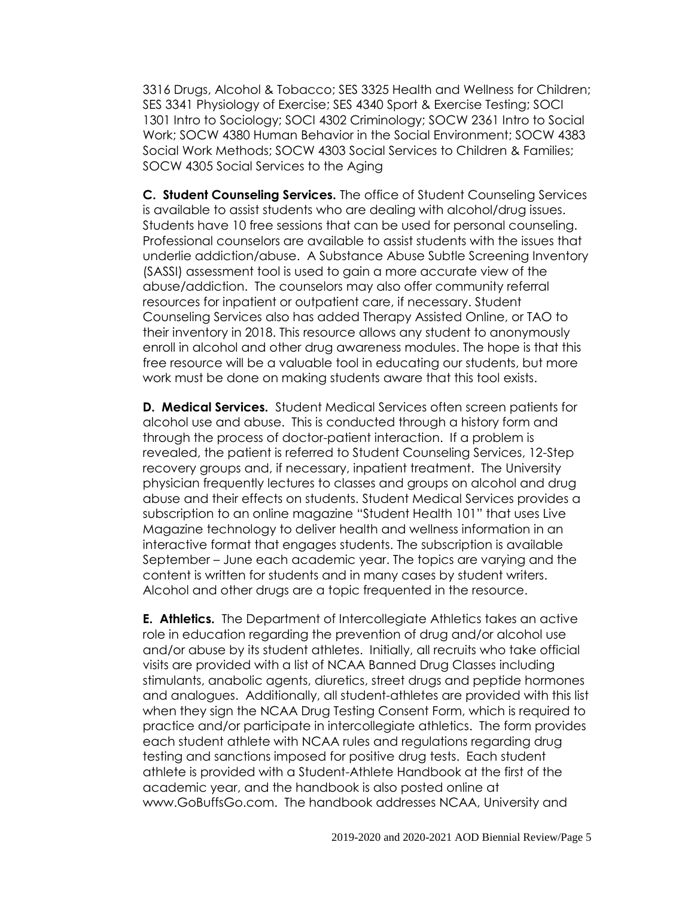3316 Drugs, Alcohol & Tobacco; SES 3325 Health and Wellness for Children; SES 3341 Physiology of Exercise; SES 4340 Sport & Exercise Testing; SOCI 1301 Intro to Sociology; SOCI 4302 Criminology; SOCW 2361 Intro to Social Work; SOCW 4380 Human Behavior in the Social Environment; SOCW 4383 Social Work Methods; SOCW 4303 Social Services to Children & Families; SOCW 4305 Social Services to the Aging

**C. Student Counseling Services.** The office of Student Counseling Services is available to assist students who are dealing with alcohol/drug issues. Students have 10 free sessions that can be used for personal counseling. Professional counselors are available to assist students with the issues that underlie addiction/abuse. A Substance Abuse Subtle Screening Inventory (SASSI) assessment tool is used to gain a more accurate view of the abuse/addiction. The counselors may also offer community referral resources for inpatient or outpatient care, if necessary. Student Counseling Services also has added Therapy Assisted Online, or TAO to their inventory in 2018. This resource allows any student to anonymously enroll in alcohol and other drug awareness modules. The hope is that this free resource will be a valuable tool in educating our students, but more work must be done on making students aware that this tool exists.

**D. Medical Services.** Student Medical Services often screen patients for alcohol use and abuse. This is conducted through a history form and through the process of doctor-patient interaction. If a problem is revealed, the patient is referred to Student Counseling Services, 12-Step recovery groups and, if necessary, inpatient treatment. The University physician frequently lectures to classes and groups on alcohol and drug abuse and their effects on students. Student Medical Services provides a subscription to an online magazine "Student Health 101" that uses Live Magazine technology to deliver health and wellness information in an interactive format that engages students. The subscription is available September – June each academic year. The topics are varying and the content is written for students and in many cases by student writers. Alcohol and other drugs are a topic frequented in the resource.

**E. Athletics.** The Department of Intercollegiate Athletics takes an active role in education regarding the prevention of drug and/or alcohol use and/or abuse by its student athletes. Initially, all recruits who take official visits are provided with a list of NCAA Banned Drug Classes including stimulants, anabolic agents, diuretics, street drugs and peptide hormones and analogues. Additionally, all student-athletes are provided with this list when they sign the NCAA Drug Testing Consent Form, which is required to practice and/or participate in intercollegiate athletics. The form provides each student athlete with NCAA rules and regulations regarding drug testing and sanctions imposed for positive drug tests. Each student athlete is provided with a Student-Athlete Handbook at the first of the academic year, and the handbook is also posted online at www.GoBuffsGo.com. The handbook addresses NCAA, University and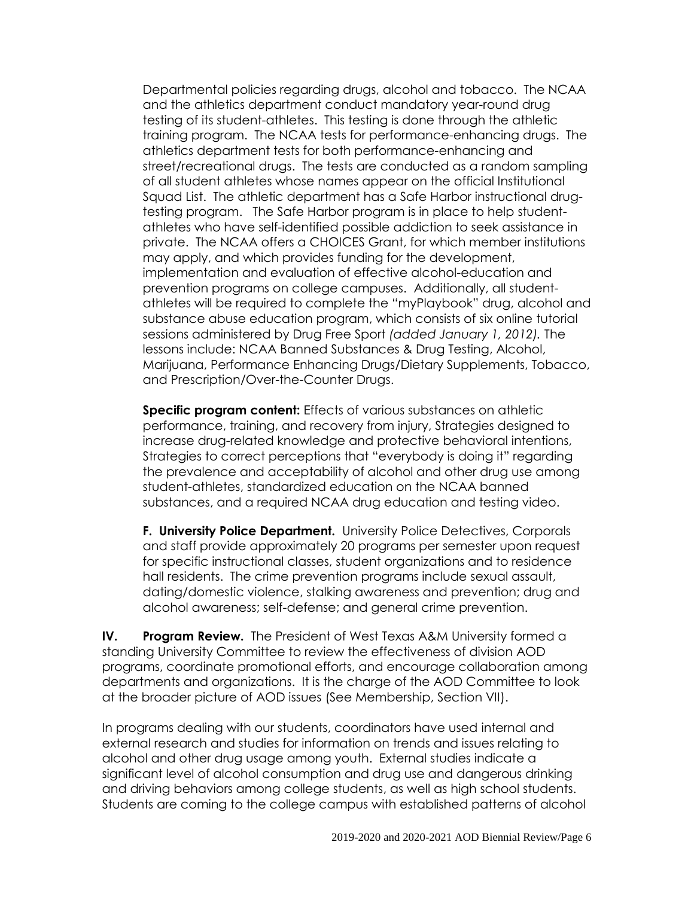Departmental policies regarding drugs, alcohol and tobacco. The NCAA and the athletics department conduct mandatory year-round drug testing of its student-athletes. This testing is done through the athletic training program. The NCAA tests for performance-enhancing drugs. The athletics department tests for both performance-enhancing and street/recreational drugs. The tests are conducted as a random sampling of all student athletes whose names appear on the official Institutional Squad List. The athletic department has a Safe Harbor instructional drugtesting program. The Safe Harbor program is in place to help studentathletes who have self-identified possible addiction to seek assistance in private. The NCAA offers a CHOICES Grant, for which member institutions may apply, and which provides funding for the development, implementation and evaluation of effective alcohol-education and prevention programs on college campuses. Additionally, all studentathletes will be required to complete the "myPlaybook" drug, alcohol and substance abuse education program, which consists of six online tutorial sessions administered by Drug Free Sport *(added January 1, 2012).* The lessons include: NCAA Banned Substances & Drug Testing, Alcohol, Marijuana, Performance Enhancing Drugs/Dietary Supplements, Tobacco, and Prescription/Over-the-Counter Drugs.

**Specific program content:** Effects of various substances on athletic performance, training, and recovery from injury, Strategies designed to increase drug-related knowledge and protective behavioral intentions, Strategies to correct perceptions that "everybody is doing it" regarding the prevalence and acceptability of alcohol and other drug use among student-athletes, standardized education on the NCAA banned substances, and a required NCAA drug education and testing video.

**F. University Police Department.** University Police Detectives, Corporals and staff provide approximately 20 programs per semester upon request for specific instructional classes, student organizations and to residence hall residents. The crime prevention programs include sexual assault, dating/domestic violence, stalking awareness and prevention; drug and alcohol awareness; self-defense; and general crime prevention.

**IV. Program Review.** The President of West Texas A&M University formed a standing University Committee to review the effectiveness of division AOD programs, coordinate promotional efforts, and encourage collaboration among departments and organizations. It is the charge of the AOD Committee to look at the broader picture of AOD issues (See Membership, Section VII).

In programs dealing with our students, coordinators have used internal and external research and studies for information on trends and issues relating to alcohol and other drug usage among youth. External studies indicate a significant level of alcohol consumption and drug use and dangerous drinking and driving behaviors among college students, as well as high school students. Students are coming to the college campus with established patterns of alcohol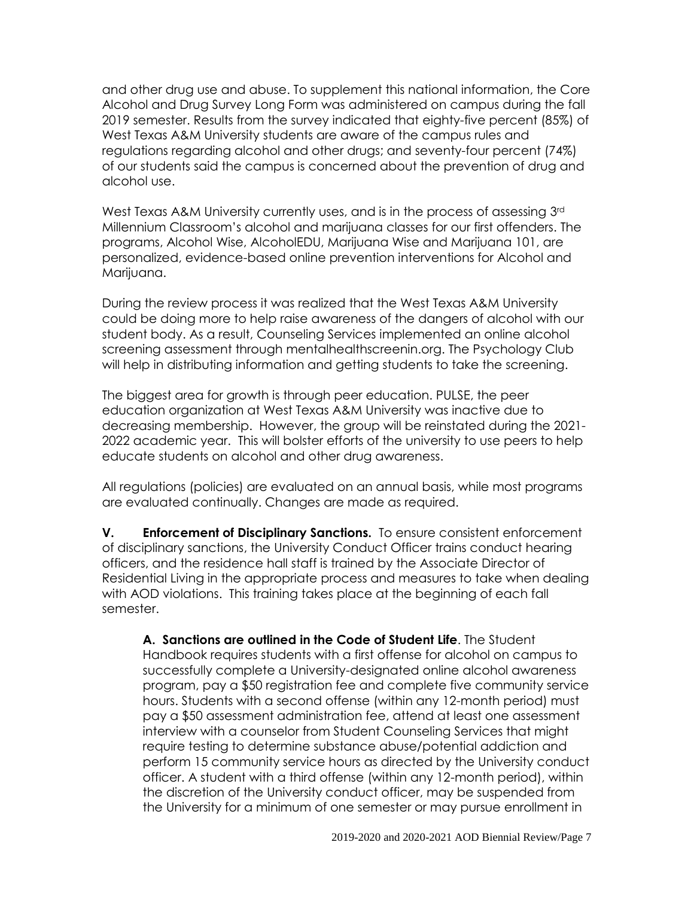and other drug use and abuse. To supplement this national information, the Core Alcohol and Drug Survey Long Form was administered on campus during the fall 2019 semester. Results from the survey indicated that eighty-five percent (85%) of West Texas A&M University students are aware of the campus rules and regulations regarding alcohol and other drugs; and seventy-four percent (74%) of our students said the campus is concerned about the prevention of drug and alcohol use.

West Texas A&M University currently uses, and is in the process of assessing 3<sup>rd</sup> Millennium Classroom's alcohol and marijuana classes for our first offenders. The programs, Alcohol Wise, AlcoholEDU, Marijuana Wise and Marijuana 101, are personalized, evidence-based online prevention interventions for Alcohol and Marijuana.

During the review process it was realized that the West Texas A&M University could be doing more to help raise awareness of the dangers of alcohol with our student body. As a result, Counseling Services implemented an online alcohol screening assessment through mentalhealthscreenin.org. The Psychology Club will help in distributing information and getting students to take the screening.

The biggest area for growth is through peer education. PULSE, the peer education organization at West Texas A&M University was inactive due to decreasing membership. However, the group will be reinstated during the 2021- 2022 academic year. This will bolster efforts of the university to use peers to help educate students on alcohol and other drug awareness.

All regulations (policies) are evaluated on an annual basis, while most programs are evaluated continually. Changes are made as required.

**V. Enforcement of Disciplinary Sanctions.** To ensure consistent enforcement of disciplinary sanctions, the University Conduct Officer trains conduct hearing officers, and the residence hall staff is trained by the Associate Director of Residential Living in the appropriate process and measures to take when dealing with AOD violations. This training takes place at the beginning of each fall semester.

**A. Sanctions are outlined in the Code of Student Life**. The Student Handbook requires students with a first offense for alcohol on campus to successfully complete a University-designated online alcohol awareness program, pay a \$50 registration fee and complete five community service hours. Students with a second offense (within any 12-month period) must pay a \$50 assessment administration fee, attend at least one assessment interview with a counselor from Student Counseling Services that might require testing to determine substance abuse/potential addiction and perform 15 community service hours as directed by the University conduct officer. A student with a third offense (within any 12-month period), within the discretion of the University conduct officer, may be suspended from the University for a minimum of one semester or may pursue enrollment in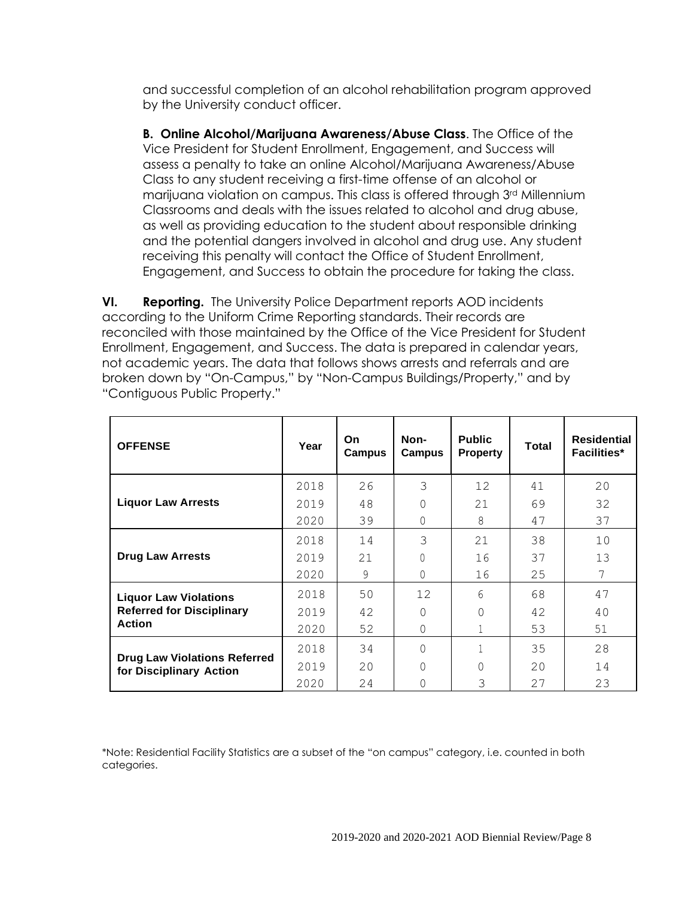and successful completion of an alcohol rehabilitation program approved by the University conduct officer.

**B. Online Alcohol/Marijuana Awareness/Abuse Class**. The Office of the Vice President for Student Enrollment, Engagement, and Success will assess a penalty to take an online Alcohol/Marijuana Awareness/Abuse Class to any student receiving a first-time offense of an alcohol or marijuana violation on campus. This class is offered through 3rd Millennium Classrooms and deals with the issues related to alcohol and drug abuse, as well as providing education to the student about responsible drinking and the potential dangers involved in alcohol and drug use. Any student receiving this penalty will contact the Office of Student Enrollment, Engagement, and Success to obtain the procedure for taking the class.

**VI. Reporting.** The University Police Department reports AOD incidents according to the Uniform Crime Reporting standards. Their records are reconciled with those maintained by the Office of the Vice President for Student Enrollment, Engagement, and Success. The data is prepared in calendar years, not academic years. The data that follows shows arrests and referrals and are broken down by "On-Campus," by "Non-Campus Buildings/Property," and by "Contiguous Public Property."

| <b>OFFENSE</b>                                                                    | Year | On.<br>Campus | Non-<br>Campus | <b>Public</b><br><b>Property</b> | <b>Total</b> | <b>Residential</b><br><b>Facilities*</b> |
|-----------------------------------------------------------------------------------|------|---------------|----------------|----------------------------------|--------------|------------------------------------------|
| <b>Liquor Law Arrests</b>                                                         | 2018 | 26            | 3              | 12                               | 41           | 20                                       |
|                                                                                   | 2019 | 48            | $\Omega$       | 21                               | 69           | 32                                       |
|                                                                                   | 2020 | 39            | 0              | 8                                | 47           | 37                                       |
| <b>Drug Law Arrests</b>                                                           | 2018 | 14            | 3              | 21                               | 38           | 10                                       |
|                                                                                   | 2019 | 21            | $\Omega$       | 16                               | 37           | 13                                       |
|                                                                                   | 2020 | 9             | $\Omega$       | 16                               | 25           | 7                                        |
| <b>Liquor Law Violations</b><br><b>Referred for Disciplinary</b><br><b>Action</b> | 2018 | 50            | 12             | 6                                | 68           | 47                                       |
|                                                                                   | 2019 | 42            | 0              | $\Omega$                         | 42           | 40                                       |
|                                                                                   | 2020 | 52            | 0              | 1                                | 53           | 51                                       |
| <b>Drug Law Violations Referred</b><br>for Disciplinary Action                    | 2018 | 34            | $\Omega$       |                                  | 35           | 28                                       |
|                                                                                   | 2019 | 20            | 0              | $\Omega$                         | 20           | 14                                       |
|                                                                                   | 2020 | 24            | 0              | 3                                | 27           | 23                                       |

\*Note: Residential Facility Statistics are a subset of the "on campus" category, i.e. counted in both categories.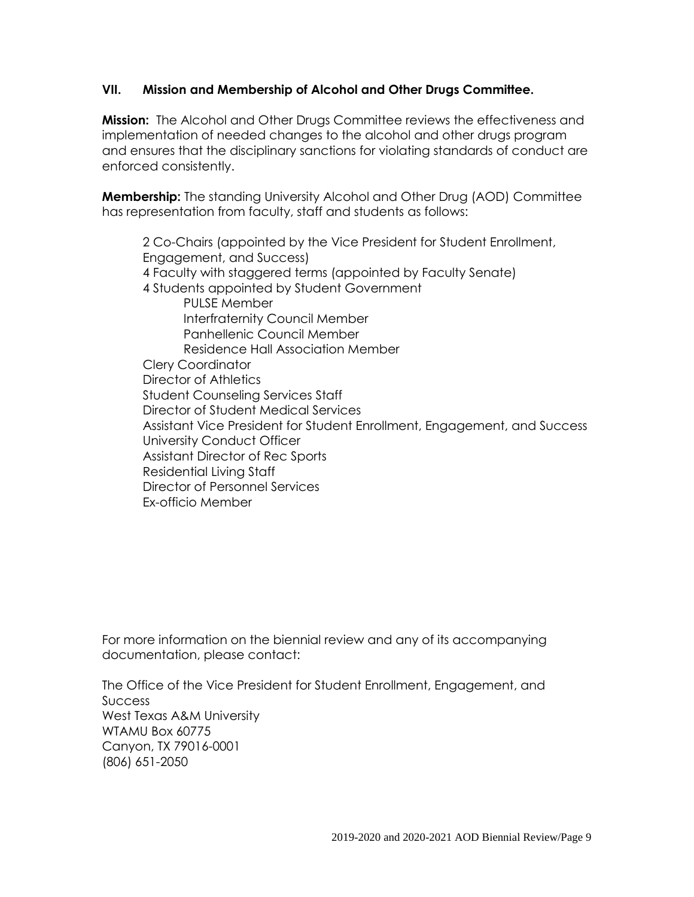# **VII. Mission and Membership of Alcohol and Other Drugs Committee.**

**Mission:** The Alcohol and Other Drugs Committee reviews the effectiveness and implementation of needed changes to the alcohol and other drugs program and ensures that the disciplinary sanctions for violating standards of conduct are enforced consistently.

**Membership:** The standing University Alcohol and Other Drug (AOD) Committee has representation from faculty, staff and students as follows:

2 Co-Chairs (appointed by the Vice President for Student Enrollment, Engagement, and Success) 4 Faculty with staggered terms (appointed by Faculty Senate) 4 Students appointed by Student Government PULSE Member Interfraternity Council Member Panhellenic Council Member Residence Hall Association Member Clery Coordinator Director of Athletics Student Counseling Services Staff Director of Student Medical Services Assistant Vice President for Student Enrollment, Engagement, and Success University Conduct Officer Assistant Director of Rec Sports Residential Living Staff Director of Personnel Services Ex-officio Member

For more information on the biennial review and any of its accompanying documentation, please contact:

The Office of the Vice President for Student Enrollment, Engagement, and Success West Texas A&M University WTAMU Box 60775 Canyon, TX 79016-0001 (806) 651-2050